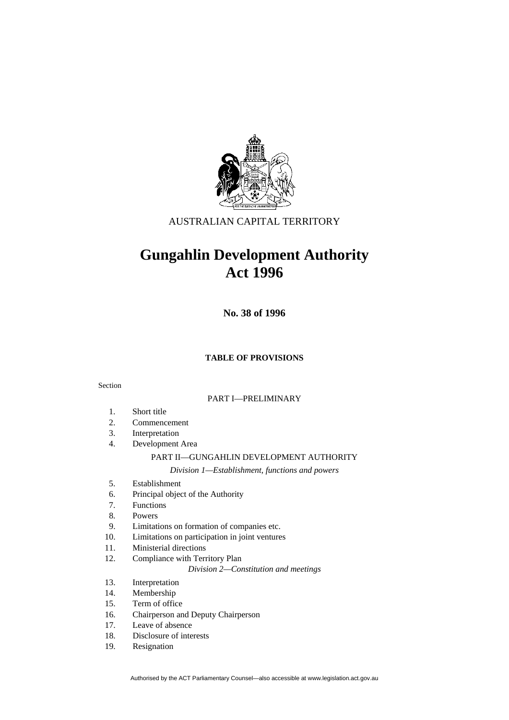

# AUSTRALIAN CAPITAL TERRITORY

# **Gungahlin Development Authority Act 1996**

**No. 38 of 1996** 

#### **TABLE OF PROVISIONS**

#### Section

#### PART I—PRELIMINARY

- 1. Short title
- 2. Commencement
- 3. Interpretation
- 4. Development Area

### PART II—GUNGAHLIN DEVELOPMENT AUTHORITY

*Division 1—Establishment, functions and powers* 

- 5. Establishment
- 6. Principal object of the Authority
- 7. Functions
- 8. Powers
- 9. Limitations on formation of companies etc.
- 10. Limitations on participation in joint ventures
- 11. Ministerial directions
- 12. Compliance with Territory Plan

*Division 2—Constitution and meetings* 

- 13. Interpretation
- 14. Membership
- 15. Term of office
- 16. Chairperson and Deputy Chairperson
- 17. Leave of absence
- 18. Disclosure of interests
- 19. Resignation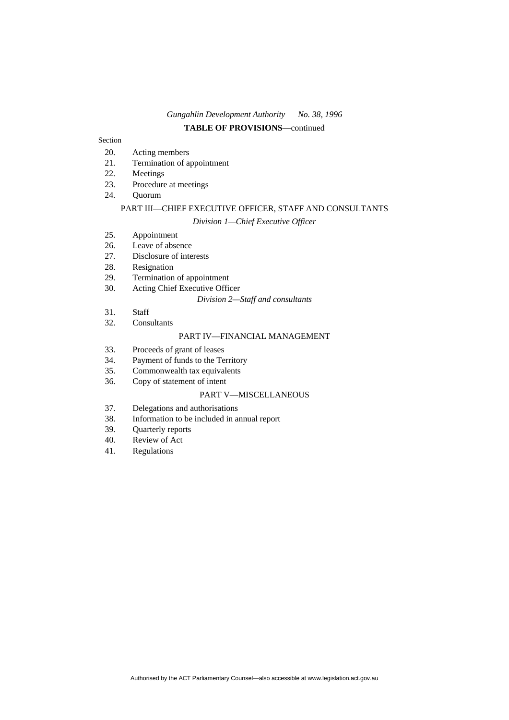### *Gungahlin Development Authority No. 38, 1996* **TABLE OF PROVISIONS**—continued

#### Section

- 20. Acting members
- 21. Termination of appointment
- 22. Meetings
- 23. Procedure at meetings
- 24. Quorum

# PART III—CHIEF EXECUTIVE OFFICER, STAFF AND CONSULTANTS

## *Division 1—Chief Executive Officer*

- 25. Appointment
- 26. Leave of absence
- 27. Disclosure of interests
- 28. Resignation
- 29. Termination of appointment
- 30. Acting Chief Executive Officer

#### *Division 2—Staff and consultants*

- 31. Staff
- 32. Consultants

## PART IV—FINANCIAL MANAGEMENT

- 33. Proceeds of grant of leases
- 34. Payment of funds to the Territory
- 35. Commonwealth tax equivalents
- 36. Copy of statement of intent

#### PART V—MISCELLANEOUS

- 37. Delegations and authorisations
- 38. Information to be included in annual report
- 39. Quarterly reports
- 40. Review of Act
- 41. Regulations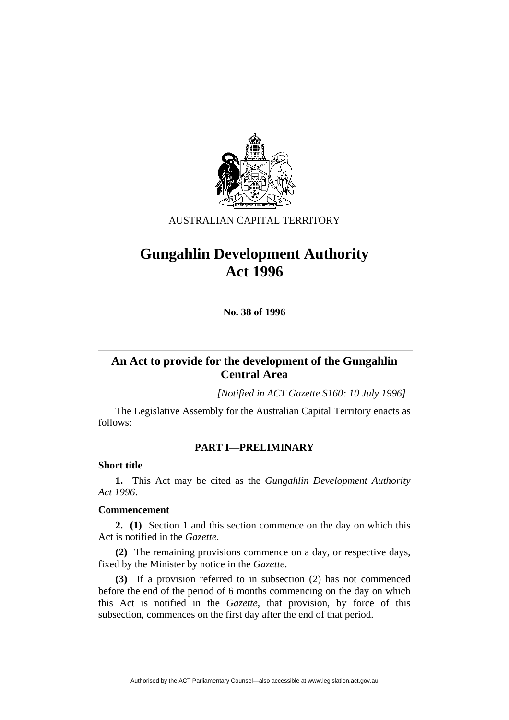

# AUSTRALIAN CAPITAL TERRITORY

# **Gungahlin Development Authority Act 1996**

**No. 38 of 1996** 

# **An Act to provide for the development of the Gungahlin Central Area**

*[Notified in ACT Gazette S160: 10 July 1996]*

 The Legislative Assembly for the Australian Capital Territory enacts as follows:

# **PART I—PRELIMINARY**

# **Short title**

**1.** This Act may be cited as the *Gungahlin Development Authority Act 1996*.

## **Commencement**

**2. (1)** Section 1 and this section commence on the day on which this Act is notified in the *Gazette*.

**(2)** The remaining provisions commence on a day, or respective days, fixed by the Minister by notice in the *Gazette*.

**(3)** If a provision referred to in subsection (2) has not commenced before the end of the period of 6 months commencing on the day on which this Act is notified in the *Gazette*, that provision, by force of this subsection, commences on the first day after the end of that period.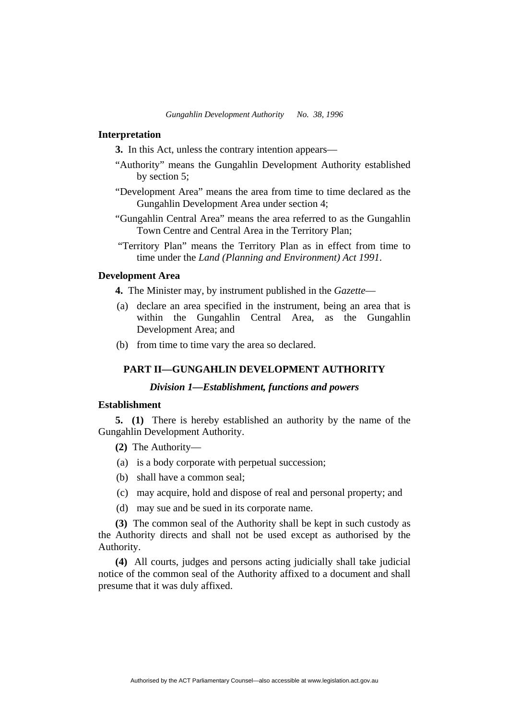#### **Interpretation**

**3.** In this Act, unless the contrary intention appears—

- "Authority" means the Gungahlin Development Authority established by section 5;
- "Development Area" means the area from time to time declared as the Gungahlin Development Area under section 4;
- "Gungahlin Central Area" means the area referred to as the Gungahlin Town Centre and Central Area in the Territory Plan;
- "Territory Plan" means the Territory Plan as in effect from time to time under the *Land (Planning and Environment) Act 1991*.

## **Development Area**

**4.** The Minister may, by instrument published in the *Gazette*—

- (a) declare an area specified in the instrument, being an area that is within the Gungahlin Central Area, as the Gungahlin Development Area; and
- (b) from time to time vary the area so declared.

# **PART II—GUNGAHLIN DEVELOPMENT AUTHORITY**

# *Division 1—Establishment, functions and powers*

#### **Establishment**

**5. (1)** There is hereby established an authority by the name of the Gungahlin Development Authority.

**(2)** The Authority—

- (a) is a body corporate with perpetual succession;
- (b) shall have a common seal;
- (c) may acquire, hold and dispose of real and personal property; and
- (d) may sue and be sued in its corporate name.

**(3)** The common seal of the Authority shall be kept in such custody as the Authority directs and shall not be used except as authorised by the Authority.

**(4)** All courts, judges and persons acting judicially shall take judicial notice of the common seal of the Authority affixed to a document and shall presume that it was duly affixed.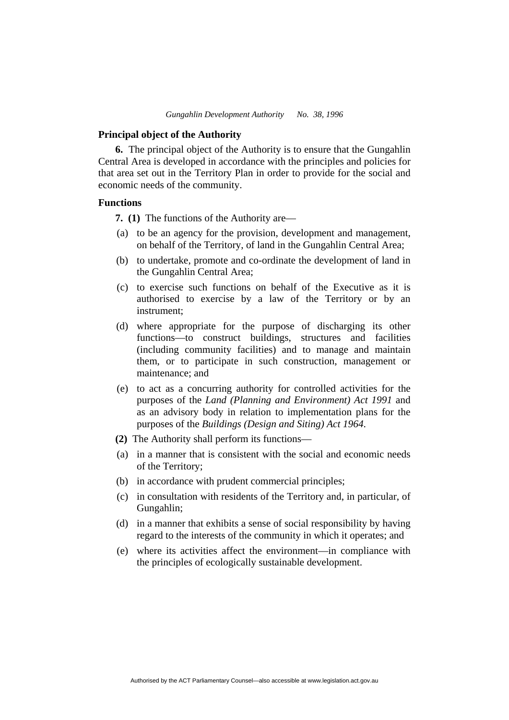#### **Principal object of the Authority**

**6.** The principal object of the Authority is to ensure that the Gungahlin Central Area is developed in accordance with the principles and policies for that area set out in the Territory Plan in order to provide for the social and economic needs of the community.

#### **Functions**

**7. (1)** The functions of the Authority are—

- (a) to be an agency for the provision, development and management, on behalf of the Territory, of land in the Gungahlin Central Area;
- (b) to undertake, promote and co-ordinate the development of land in the Gungahlin Central Area;
- (c) to exercise such functions on behalf of the Executive as it is authorised to exercise by a law of the Territory or by an instrument;
- (d) where appropriate for the purpose of discharging its other functions—to construct buildings, structures and facilities (including community facilities) and to manage and maintain them, or to participate in such construction, management or maintenance; and
- (e) to act as a concurring authority for controlled activities for the purposes of the *Land (Planning and Environment) Act 1991* and as an advisory body in relation to implementation plans for the purposes of the *Buildings (Design and Siting) Act 1964*.
- **(2)** The Authority shall perform its functions—
- (a) in a manner that is consistent with the social and economic needs of the Territory;
- (b) in accordance with prudent commercial principles;
- (c) in consultation with residents of the Territory and, in particular, of Gungahlin;
- (d) in a manner that exhibits a sense of social responsibility by having regard to the interests of the community in which it operates; and
- (e) where its activities affect the environment—in compliance with the principles of ecologically sustainable development.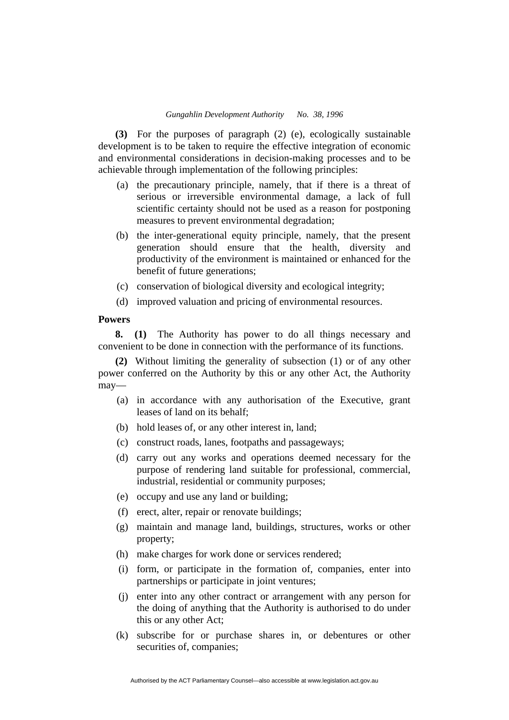**(3)** For the purposes of paragraph (2) (e), ecologically sustainable development is to be taken to require the effective integration of economic and environmental considerations in decision-making processes and to be achievable through implementation of the following principles:

- (a) the precautionary principle, namely, that if there is a threat of serious or irreversible environmental damage, a lack of full scientific certainty should not be used as a reason for postponing measures to prevent environmental degradation;
- (b) the inter-generational equity principle, namely, that the present generation should ensure that the health, diversity and productivity of the environment is maintained or enhanced for the benefit of future generations;
- (c) conservation of biological diversity and ecological integrity;
- (d) improved valuation and pricing of environmental resources.

## **Powers**

**8. (1)** The Authority has power to do all things necessary and convenient to be done in connection with the performance of its functions.

**(2)** Without limiting the generality of subsection (1) or of any other power conferred on the Authority by this or any other Act, the Authority may—

- (a) in accordance with any authorisation of the Executive, grant leases of land on its behalf;
- (b) hold leases of, or any other interest in, land;
- (c) construct roads, lanes, footpaths and passageways;
- (d) carry out any works and operations deemed necessary for the purpose of rendering land suitable for professional, commercial, industrial, residential or community purposes;
- (e) occupy and use any land or building;
- (f) erect, alter, repair or renovate buildings;
- (g) maintain and manage land, buildings, structures, works or other property;
- (h) make charges for work done or services rendered;
- (i) form, or participate in the formation of, companies, enter into partnerships or participate in joint ventures;
- (j) enter into any other contract or arrangement with any person for the doing of anything that the Authority is authorised to do under this or any other Act;
- (k) subscribe for or purchase shares in, or debentures or other securities of, companies;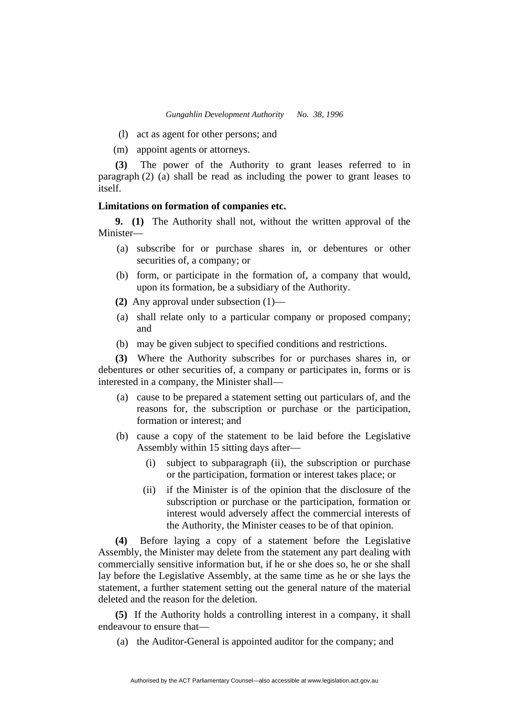- (l) act as agent for other persons; and
- (m) appoint agents or attorneys.

**(3)** The power of the Authority to grant leases referred to in paragraph (2) (a) shall be read as including the power to grant leases to itself.

## **Limitations on formation of companies etc.**

**9. (1)** The Authority shall not, without the written approval of the Minister—

- (a) subscribe for or purchase shares in, or debentures or other securities of, a company; or
- (b) form, or participate in the formation of, a company that would, upon its formation, be a subsidiary of the Authority.
- **(2)** Any approval under subsection (1)—
- (a) shall relate only to a particular company or proposed company; and
- (b) may be given subject to specified conditions and restrictions.

**(3)** Where the Authority subscribes for or purchases shares in, or debentures or other securities of, a company or participates in, forms or is interested in a company, the Minister shall—

- (a) cause to be prepared a statement setting out particulars of, and the reasons for, the subscription or purchase or the participation, formation or interest: and
- (b) cause a copy of the statement to be laid before the Legislative Assembly within 15 sitting days after—
	- (i) subject to subparagraph (ii), the subscription or purchase or the participation, formation or interest takes place; or
	- (ii) if the Minister is of the opinion that the disclosure of the subscription or purchase or the participation, formation or interest would adversely affect the commercial interests of the Authority, the Minister ceases to be of that opinion.

**(4)** Before laying a copy of a statement before the Legislative Assembly, the Minister may delete from the statement any part dealing with commercially sensitive information but, if he or she does so, he or she shall lay before the Legislative Assembly, at the same time as he or she lays the statement, a further statement setting out the general nature of the material deleted and the reason for the deletion.

**(5)** If the Authority holds a controlling interest in a company, it shall endeavour to ensure that—

(a) the Auditor-General is appointed auditor for the company; and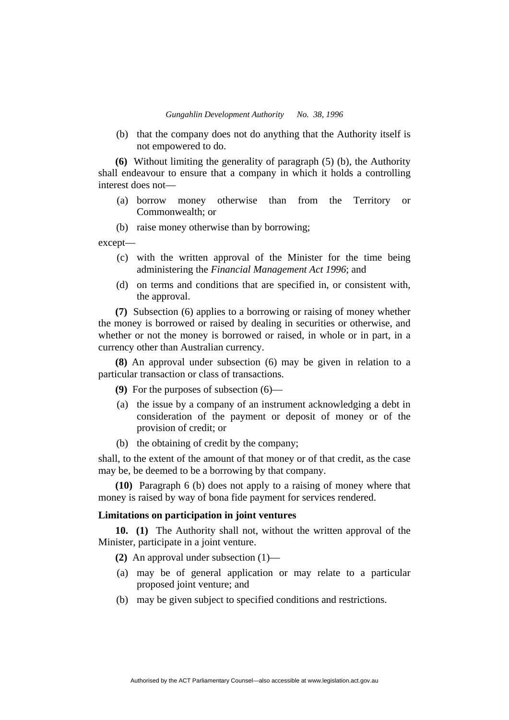(b) that the company does not do anything that the Authority itself is not empowered to do.

**(6)** Without limiting the generality of paragraph (5) (b), the Authority shall endeavour to ensure that a company in which it holds a controlling interest does not—

- (a) borrow money otherwise than from the Territory or Commonwealth; or
- (b) raise money otherwise than by borrowing;

except—

- (c) with the written approval of the Minister for the time being administering the *Financial Management Act 1996*; and
- (d) on terms and conditions that are specified in, or consistent with, the approval.

**(7)** Subsection (6) applies to a borrowing or raising of money whether the money is borrowed or raised by dealing in securities or otherwise, and whether or not the money is borrowed or raised, in whole or in part, in a currency other than Australian currency.

**(8)** An approval under subsection (6) may be given in relation to a particular transaction or class of transactions.

**(9)** For the purposes of subsection (6)—

- (a) the issue by a company of an instrument acknowledging a debt in consideration of the payment or deposit of money or of the provision of credit; or
- (b) the obtaining of credit by the company;

shall, to the extent of the amount of that money or of that credit, as the case may be, be deemed to be a borrowing by that company.

**(10)** Paragraph 6 (b) does not apply to a raising of money where that money is raised by way of bona fide payment for services rendered.

#### **Limitations on participation in joint ventures**

**10. (1)** The Authority shall not, without the written approval of the Minister, participate in a joint venture.

**(2)** An approval under subsection (1)—

- (a) may be of general application or may relate to a particular proposed joint venture; and
- (b) may be given subject to specified conditions and restrictions.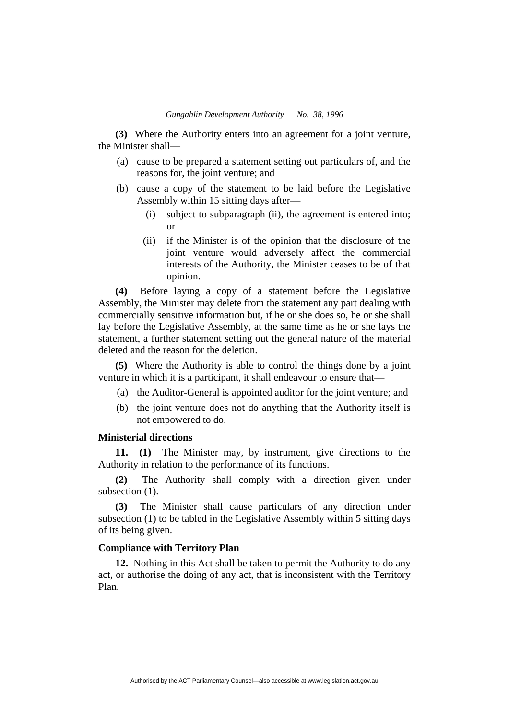**(3)** Where the Authority enters into an agreement for a joint venture, the Minister shall—

- (a) cause to be prepared a statement setting out particulars of, and the reasons for, the joint venture; and
- (b) cause a copy of the statement to be laid before the Legislative Assembly within 15 sitting days after—
	- (i) subject to subparagraph (ii), the agreement is entered into; or
	- (ii) if the Minister is of the opinion that the disclosure of the joint venture would adversely affect the commercial interests of the Authority, the Minister ceases to be of that opinion.

**(4)** Before laying a copy of a statement before the Legislative Assembly, the Minister may delete from the statement any part dealing with commercially sensitive information but, if he or she does so, he or she shall lay before the Legislative Assembly, at the same time as he or she lays the statement, a further statement setting out the general nature of the material deleted and the reason for the deletion.

**(5)** Where the Authority is able to control the things done by a joint venture in which it is a participant, it shall endeavour to ensure that—

- (a) the Auditor-General is appointed auditor for the joint venture; and
- (b) the joint venture does not do anything that the Authority itself is not empowered to do.

## **Ministerial directions**

**11. (1)** The Minister may, by instrument, give directions to the Authority in relation to the performance of its functions.

**(2)** The Authority shall comply with a direction given under subsection  $(1)$ .

**(3)** The Minister shall cause particulars of any direction under subsection (1) to be tabled in the Legislative Assembly within 5 sitting days of its being given.

# **Compliance with Territory Plan**

**12.** Nothing in this Act shall be taken to permit the Authority to do any act, or authorise the doing of any act, that is inconsistent with the Territory Plan.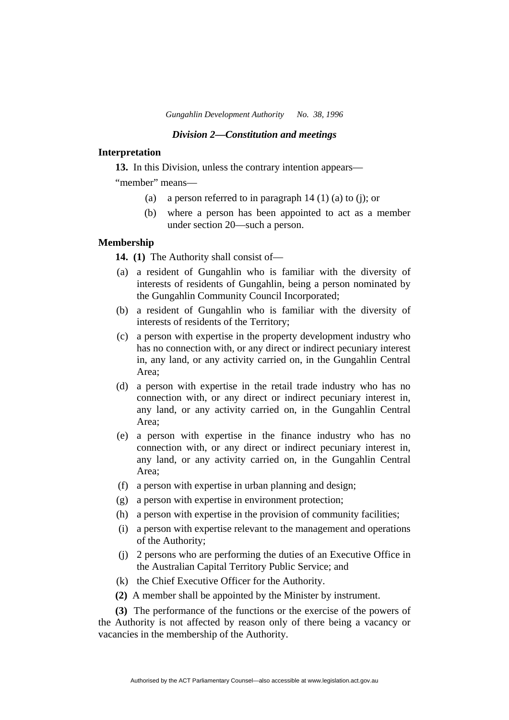*Gungahlin Development Authority No. 38, 1996*

#### *Division 2—Constitution and meetings*

## **Interpretation**

**13.** In this Division, unless the contrary intention appears—

"member" means—

- (a) a person referred to in paragraph  $14 (1) (a)$  to (j); or
- (b) where a person has been appointed to act as a member under section 20—such a person.

# **Membership**

**14. (1)** The Authority shall consist of—

- (a) a resident of Gungahlin who is familiar with the diversity of interests of residents of Gungahlin, being a person nominated by the Gungahlin Community Council Incorporated;
- (b) a resident of Gungahlin who is familiar with the diversity of interests of residents of the Territory;
- (c) a person with expertise in the property development industry who has no connection with, or any direct or indirect pecuniary interest in, any land, or any activity carried on, in the Gungahlin Central Area;
- (d) a person with expertise in the retail trade industry who has no connection with, or any direct or indirect pecuniary interest in, any land, or any activity carried on, in the Gungahlin Central Area;
- (e) a person with expertise in the finance industry who has no connection with, or any direct or indirect pecuniary interest in, any land, or any activity carried on, in the Gungahlin Central Area;
- (f) a person with expertise in urban planning and design;
- (g) a person with expertise in environment protection;
- (h) a person with expertise in the provision of community facilities;
- (i) a person with expertise relevant to the management and operations of the Authority;
- (j) 2 persons who are performing the duties of an Executive Office in the Australian Capital Territory Public Service; and
- (k) the Chief Executive Officer for the Authority.
- **(2)** A member shall be appointed by the Minister by instrument.

**(3)** The performance of the functions or the exercise of the powers of the Authority is not affected by reason only of there being a vacancy or vacancies in the membership of the Authority.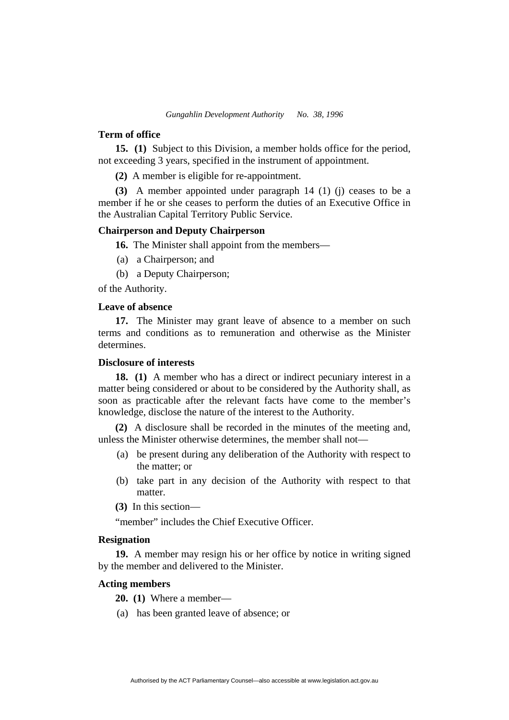#### **Term of office**

**15. (1)** Subject to this Division, a member holds office for the period, not exceeding 3 years, specified in the instrument of appointment.

**(2)** A member is eligible for re-appointment.

**(3)** A member appointed under paragraph 14 (1) (j) ceases to be a member if he or she ceases to perform the duties of an Executive Office in the Australian Capital Territory Public Service.

## **Chairperson and Deputy Chairperson**

**16.** The Minister shall appoint from the members—

- (a) a Chairperson; and
- (b) a Deputy Chairperson;

of the Authority.

## **Leave of absence**

**17.** The Minister may grant leave of absence to a member on such terms and conditions as to remuneration and otherwise as the Minister determines.

## **Disclosure of interests**

**18. (1)** A member who has a direct or indirect pecuniary interest in a matter being considered or about to be considered by the Authority shall, as soon as practicable after the relevant facts have come to the member's knowledge, disclose the nature of the interest to the Authority.

**(2)** A disclosure shall be recorded in the minutes of the meeting and, unless the Minister otherwise determines, the member shall not—

- (a) be present during any deliberation of the Authority with respect to the matter; or
- (b) take part in any decision of the Authority with respect to that matter.
- **(3)** In this section—

"member" includes the Chief Executive Officer.

#### **Resignation**

**19.** A member may resign his or her office by notice in writing signed by the member and delivered to the Minister.

## **Acting members**

**20. (1)** Where a member—

(a) has been granted leave of absence; or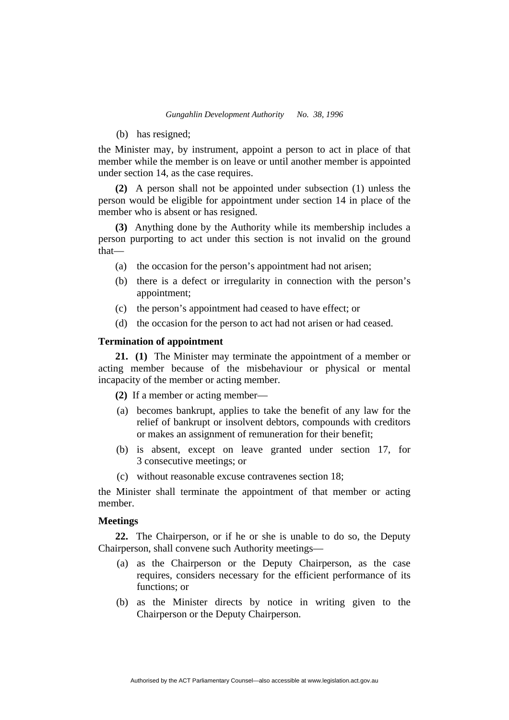(b) has resigned;

the Minister may, by instrument, appoint a person to act in place of that member while the member is on leave or until another member is appointed under section 14, as the case requires.

**(2)** A person shall not be appointed under subsection (1) unless the person would be eligible for appointment under section 14 in place of the member who is absent or has resigned.

**(3)** Anything done by the Authority while its membership includes a person purporting to act under this section is not invalid on the ground that—

- (a) the occasion for the person's appointment had not arisen;
- (b) there is a defect or irregularity in connection with the person's appointment;
- (c) the person's appointment had ceased to have effect; or
- (d) the occasion for the person to act had not arisen or had ceased.

## **Termination of appointment**

**21. (1)** The Minister may terminate the appointment of a member or acting member because of the misbehaviour or physical or mental incapacity of the member or acting member.

**(2)** If a member or acting member—

- (a) becomes bankrupt, applies to take the benefit of any law for the relief of bankrupt or insolvent debtors, compounds with creditors or makes an assignment of remuneration for their benefit;
- (b) is absent, except on leave granted under section 17, for 3 consecutive meetings; or
- (c) without reasonable excuse contravenes section 18;

the Minister shall terminate the appointment of that member or acting member.

#### **Meetings**

**22.** The Chairperson, or if he or she is unable to do so, the Deputy Chairperson, shall convene such Authority meetings—

- (a) as the Chairperson or the Deputy Chairperson, as the case requires, considers necessary for the efficient performance of its functions; or
- (b) as the Minister directs by notice in writing given to the Chairperson or the Deputy Chairperson.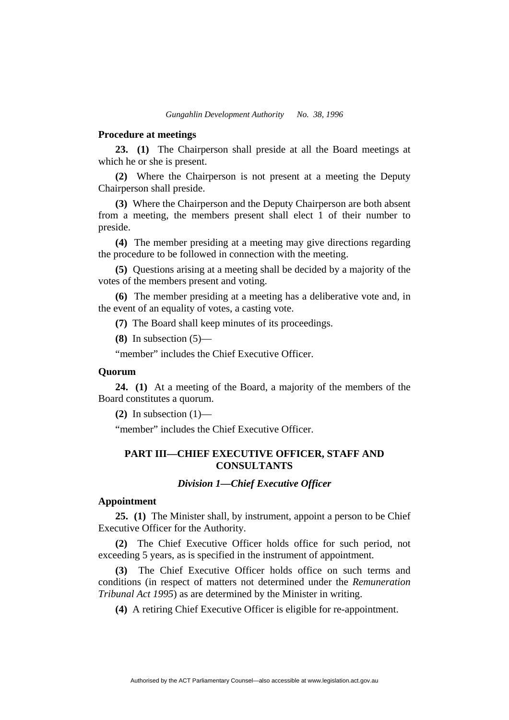#### **Procedure at meetings**

**23. (1)** The Chairperson shall preside at all the Board meetings at which he or she is present.

**(2)** Where the Chairperson is not present at a meeting the Deputy Chairperson shall preside.

**(3)** Where the Chairperson and the Deputy Chairperson are both absent from a meeting, the members present shall elect 1 of their number to preside.

**(4)** The member presiding at a meeting may give directions regarding the procedure to be followed in connection with the meeting.

**(5)** Questions arising at a meeting shall be decided by a majority of the votes of the members present and voting.

**(6)** The member presiding at a meeting has a deliberative vote and, in the event of an equality of votes, a casting vote.

**(7)** The Board shall keep minutes of its proceedings.

**(8)** In subsection (5)—

"member" includes the Chief Executive Officer.

#### **Quorum**

**24. (1)** At a meeting of the Board, a majority of the members of the Board constitutes a quorum.

**(2)** In subsection  $(1)$ —

"member" includes the Chief Executive Officer.

# **PART III—CHIEF EXECUTIVE OFFICER, STAFF AND CONSULTANTS**

#### *Division 1—Chief Executive Officer*

#### **Appointment**

**25. (1)** The Minister shall, by instrument, appoint a person to be Chief Executive Officer for the Authority.

**(2)** The Chief Executive Officer holds office for such period, not exceeding 5 years, as is specified in the instrument of appointment.

**(3)** The Chief Executive Officer holds office on such terms and conditions (in respect of matters not determined under the *Remuneration Tribunal Act 1995*) as are determined by the Minister in writing.

**(4)** A retiring Chief Executive Officer is eligible for re-appointment.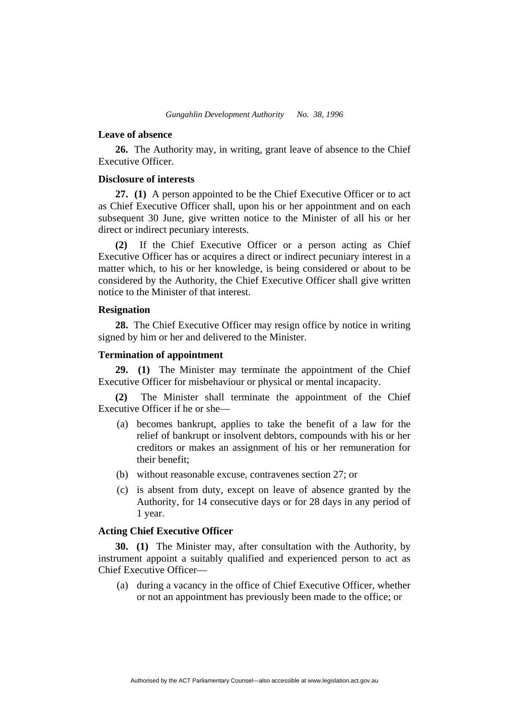#### **Leave of absence**

**26.** The Authority may, in writing, grant leave of absence to the Chief Executive Officer.

## **Disclosure of interests**

**27. (1)** A person appointed to be the Chief Executive Officer or to act as Chief Executive Officer shall, upon his or her appointment and on each subsequent 30 June, give written notice to the Minister of all his or her direct or indirect pecuniary interests.

**(2)** If the Chief Executive Officer or a person acting as Chief Executive Officer has or acquires a direct or indirect pecuniary interest in a matter which, to his or her knowledge, is being considered or about to be considered by the Authority, the Chief Executive Officer shall give written notice to the Minister of that interest.

#### **Resignation**

**28.** The Chief Executive Officer may resign office by notice in writing signed by him or her and delivered to the Minister.

#### **Termination of appointment**

**29. (1)** The Minister may terminate the appointment of the Chief Executive Officer for misbehaviour or physical or mental incapacity.

**(2)** The Minister shall terminate the appointment of the Chief Executive Officer if he or she—

- (a) becomes bankrupt, applies to take the benefit of a law for the relief of bankrupt or insolvent debtors, compounds with his or her creditors or makes an assignment of his or her remuneration for their benefit;
- (b) without reasonable excuse, contravenes section 27; or
- (c) is absent from duty, except on leave of absence granted by the Authority, for 14 consecutive days or for 28 days in any period of 1 year.

## **Acting Chief Executive Officer**

**30. (1)** The Minister may, after consultation with the Authority, by instrument appoint a suitably qualified and experienced person to act as Chief Executive Officer—

 (a) during a vacancy in the office of Chief Executive Officer, whether or not an appointment has previously been made to the office; or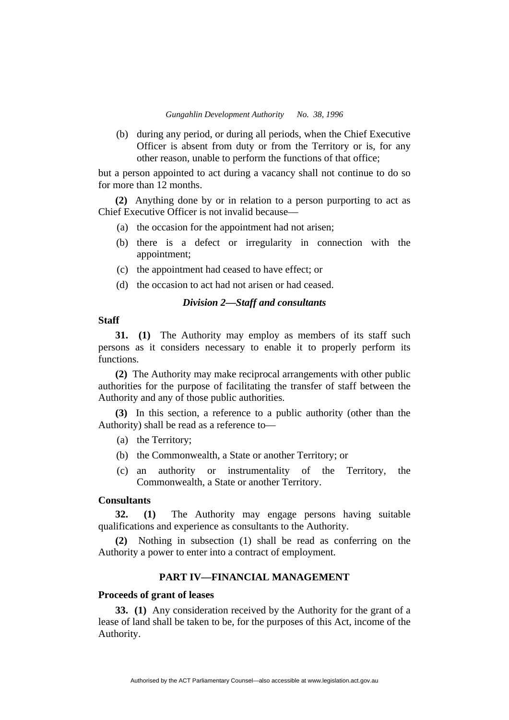(b) during any period, or during all periods, when the Chief Executive Officer is absent from duty or from the Territory or is, for any other reason, unable to perform the functions of that office;

but a person appointed to act during a vacancy shall not continue to do so for more than 12 months.

**(2)** Anything done by or in relation to a person purporting to act as Chief Executive Officer is not invalid because—

- (a) the occasion for the appointment had not arisen;
- (b) there is a defect or irregularity in connection with the appointment;
- (c) the appointment had ceased to have effect; or
- (d) the occasion to act had not arisen or had ceased.

#### *Division 2—Staff and consultants*

### **Staff**

**31. (1)** The Authority may employ as members of its staff such persons as it considers necessary to enable it to properly perform its functions.

**(2)** The Authority may make reciprocal arrangements with other public authorities for the purpose of facilitating the transfer of staff between the Authority and any of those public authorities.

**(3)** In this section, a reference to a public authority (other than the Authority) shall be read as a reference to—

- (a) the Territory;
- (b) the Commonwealth, a State or another Territory; or
- (c) an authority or instrumentality of the Territory, the Commonwealth, a State or another Territory.

# **Consultants**

**32. (1)** The Authority may engage persons having suitable qualifications and experience as consultants to the Authority.

**(2)** Nothing in subsection (1) shall be read as conferring on the Authority a power to enter into a contract of employment.

# **PART IV—FINANCIAL MANAGEMENT**

## **Proceeds of grant of leases**

**33. (1)** Any consideration received by the Authority for the grant of a lease of land shall be taken to be, for the purposes of this Act, income of the Authority.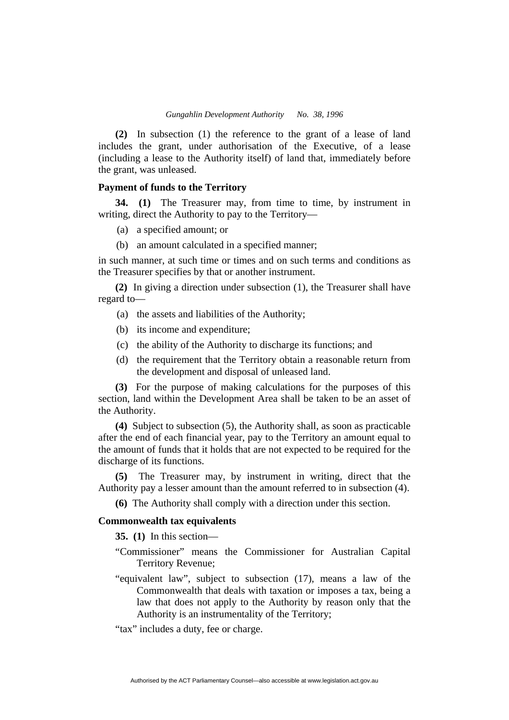**(2)** In subsection (1) the reference to the grant of a lease of land includes the grant, under authorisation of the Executive, of a lease (including a lease to the Authority itself) of land that, immediately before the grant, was unleased.

## **Payment of funds to the Territory**

**34. (1)** The Treasurer may, from time to time, by instrument in writing, direct the Authority to pay to the Territory—

- (a) a specified amount; or
- (b) an amount calculated in a specified manner;

in such manner, at such time or times and on such terms and conditions as the Treasurer specifies by that or another instrument.

**(2)** In giving a direction under subsection (1), the Treasurer shall have regard to—

- (a) the assets and liabilities of the Authority;
- (b) its income and expenditure;
- (c) the ability of the Authority to discharge its functions; and
- (d) the requirement that the Territory obtain a reasonable return from the development and disposal of unleased land.

**(3)** For the purpose of making calculations for the purposes of this section, land within the Development Area shall be taken to be an asset of the Authority.

**(4)** Subject to subsection (5), the Authority shall, as soon as practicable after the end of each financial year, pay to the Territory an amount equal to the amount of funds that it holds that are not expected to be required for the discharge of its functions.

**(5)** The Treasurer may, by instrument in writing, direct that the Authority pay a lesser amount than the amount referred to in subsection (4).

**(6)** The Authority shall comply with a direction under this section.

## **Commonwealth tax equivalents**

**35. (1)** In this section—

- "Commissioner" means the Commissioner for Australian Capital Territory Revenue;
- "equivalent law", subject to subsection (17), means a law of the Commonwealth that deals with taxation or imposes a tax, being a law that does not apply to the Authority by reason only that the Authority is an instrumentality of the Territory;

"tax" includes a duty, fee or charge.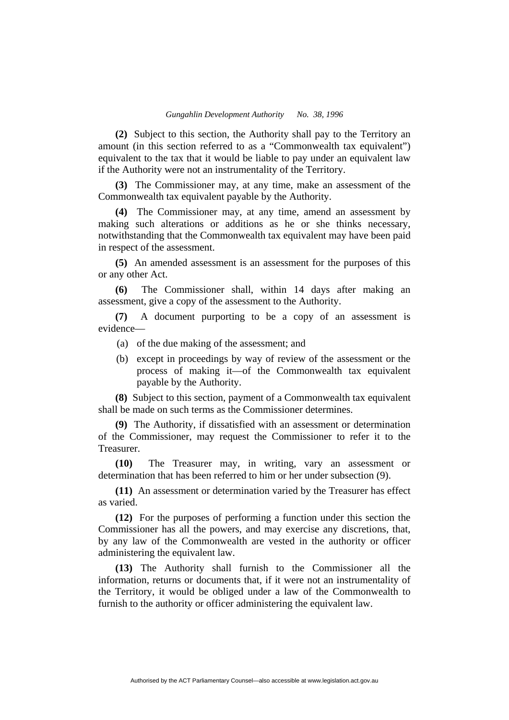**(2)** Subject to this section, the Authority shall pay to the Territory an amount (in this section referred to as a "Commonwealth tax equivalent") equivalent to the tax that it would be liable to pay under an equivalent law if the Authority were not an instrumentality of the Territory.

**(3)** The Commissioner may, at any time, make an assessment of the Commonwealth tax equivalent payable by the Authority.

**(4)** The Commissioner may, at any time, amend an assessment by making such alterations or additions as he or she thinks necessary, notwithstanding that the Commonwealth tax equivalent may have been paid in respect of the assessment.

**(5)** An amended assessment is an assessment for the purposes of this or any other Act.

**(6)** The Commissioner shall, within 14 days after making an assessment, give a copy of the assessment to the Authority.

**(7)** A document purporting to be a copy of an assessment is evidence—

- (a) of the due making of the assessment; and
- (b) except in proceedings by way of review of the assessment or the process of making it—of the Commonwealth tax equivalent payable by the Authority.

**(8)** Subject to this section, payment of a Commonwealth tax equivalent shall be made on such terms as the Commissioner determines.

**(9)** The Authority, if dissatisfied with an assessment or determination of the Commissioner, may request the Commissioner to refer it to the Treasurer.

**(10)** The Treasurer may, in writing, vary an assessment or determination that has been referred to him or her under subsection (9).

**(11)** An assessment or determination varied by the Treasurer has effect as varied.

**(12)** For the purposes of performing a function under this section the Commissioner has all the powers, and may exercise any discretions, that, by any law of the Commonwealth are vested in the authority or officer administering the equivalent law.

**(13)** The Authority shall furnish to the Commissioner all the information, returns or documents that, if it were not an instrumentality of the Territory, it would be obliged under a law of the Commonwealth to furnish to the authority or officer administering the equivalent law.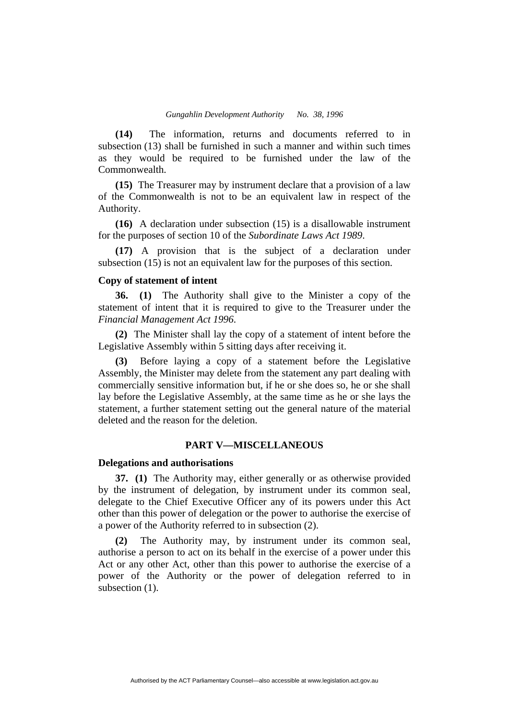**(14)** The information, returns and documents referred to in subsection (13) shall be furnished in such a manner and within such times as they would be required to be furnished under the law of the Commonwealth.

**(15)** The Treasurer may by instrument declare that a provision of a law of the Commonwealth is not to be an equivalent law in respect of the Authority.

**(16)** A declaration under subsection (15) is a disallowable instrument for the purposes of section 10 of the *Subordinate Laws Act 1989*.

**(17)** A provision that is the subject of a declaration under subsection (15) is not an equivalent law for the purposes of this section.

## **Copy of statement of intent**

**36. (1)** The Authority shall give to the Minister a copy of the statement of intent that it is required to give to the Treasurer under the *Financial Management Act 1996*.

**(2)** The Minister shall lay the copy of a statement of intent before the Legislative Assembly within 5 sitting days after receiving it.

**(3)** Before laying a copy of a statement before the Legislative Assembly, the Minister may delete from the statement any part dealing with commercially sensitive information but, if he or she does so, he or she shall lay before the Legislative Assembly, at the same time as he or she lays the statement, a further statement setting out the general nature of the material deleted and the reason for the deletion.

# **PART V—MISCELLANEOUS**

#### **Delegations and authorisations**

**37. (1)** The Authority may, either generally or as otherwise provided by the instrument of delegation, by instrument under its common seal, delegate to the Chief Executive Officer any of its powers under this Act other than this power of delegation or the power to authorise the exercise of a power of the Authority referred to in subsection (2).

**(2)** The Authority may, by instrument under its common seal, authorise a person to act on its behalf in the exercise of a power under this Act or any other Act, other than this power to authorise the exercise of a power of the Authority or the power of delegation referred to in subsection  $(1)$ .